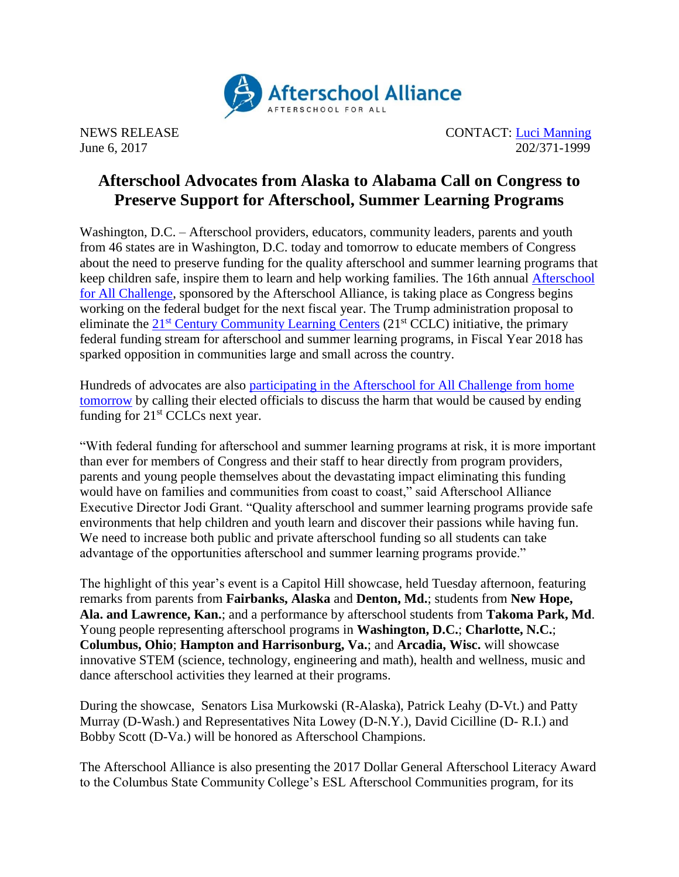

NEWS RELEASE CONTACT: [Luci Manning](mailto:luci@prsolutionsdc.com) June 6, 2017 202/371-1999

## **Afterschool Advocates from Alaska to Alabama Call on Congress to Preserve Support for Afterschool, Summer Learning Programs**

Washington, D.C. – Afterschool providers, educators, community leaders, parents and youth from 46 states are in Washington, D.C. today and tomorrow to educate members of Congress about the need to preserve funding for the quality afterschool and summer learning programs that keep children safe, inspire them to learn and help working families. The 16th annual [Afterschool](http://www.afterschoolalliance.org/challenge.cfm)  [for All Challenge,](http://www.afterschoolalliance.org/challenge.cfm) sponsored by the Afterschool Alliance, is taking place as Congress begins working on the federal budget for the next fiscal year. The Trump administration proposal to eliminate the  $21<sup>st</sup>$  [Century Community Learning Centers](http://www.afterschoolalliance.org/policy21stcclc.cfm) ( $21<sup>st</sup>$  CCLC) initiative, the primary federal funding stream for afterschool and summer learning programs, in Fiscal Year 2018 has sparked opposition in communities large and small across the country.

Hundreds of advocates are also [participating in the Afterschool for All Challenge from home](http://www.afterschoolalliance.org/challenge.cfm)  [tomorrow](http://www.afterschoolalliance.org/challenge.cfm) by calling their elected officials to discuss the harm that would be caused by ending funding for  $21<sup>st</sup>$  CCLCs next year.

"With federal funding for afterschool and summer learning programs at risk, it is more important than ever for members of Congress and their staff to hear directly from program providers, parents and young people themselves about the devastating impact eliminating this funding would have on families and communities from coast to coast," said Afterschool Alliance Executive Director Jodi Grant. "Quality afterschool and summer learning programs provide safe environments that help children and youth learn and discover their passions while having fun. We need to increase both public and private afterschool funding so all students can take advantage of the opportunities afterschool and summer learning programs provide."

The highlight of this year's event is a Capitol Hill showcase, held Tuesday afternoon, featuring remarks from parents from **Fairbanks, Alaska** and **Denton, Md.**; students from **New Hope, Ala. and Lawrence, Kan.**; and a performance by afterschool students from **Takoma Park, Md**. Young people representing afterschool programs in **Washington, D.C.**; **Charlotte, N.C.**; **Columbus, Ohio**; **Hampton and Harrisonburg, Va.**; and **Arcadia, Wisc.** will showcase innovative STEM (science, technology, engineering and math), health and wellness, music and dance afterschool activities they learned at their programs.

During the showcase, Senators Lisa Murkowski (R-Alaska), Patrick Leahy (D-Vt.) and Patty Murray (D-Wash.) and Representatives Nita Lowey (D-N.Y.), David Cicilline (D- R.I.) and Bobby Scott (D-Va.) will be honored as Afterschool Champions.

The Afterschool Alliance is also presenting the 2017 Dollar General Afterschool Literacy Award to the Columbus State Community College's ESL Afterschool Communities program, for its